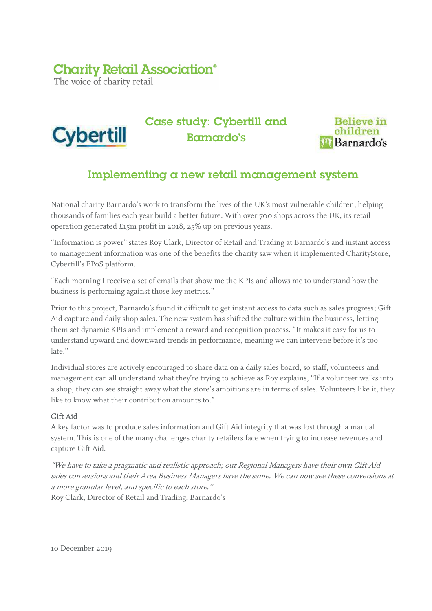## **Charity Retail Association®**

The voice of charity retail



Case study: Cybertill and Barnardo's



## Implementing a new retail management system

National charity Barnardo's work to transform the lives of the UK's most vulnerable children, helping thousands of families each year build a better future. With over 700 shops across the UK, its retail operation generated £15m profit in 2018, 25% up on previous years.

"Information is power" states Roy Clark, Director of Retail and Trading at Barnardo's and instant access to management information was one of the benefits the charity saw when it implemented CharityStore, Cybertill's EPoS platform.

"Each morning I receive a set of emails that show me the KPIs and allows me to understand how the business is performing against those key metrics."

Prior to this project, Barnardo's found it difficult to get instant access to data such as sales progress; Gift Aid capture and daily shop sales. The new system has shifted the culture within the business, letting them set dynamic KPIs and implement a reward and recognition process. "It makes it easy for us to understand upward and downward trends in performance, meaning we can intervene before it's too late."

Individual stores are actively encouraged to share data on a daily sales board, so staff, volunteers and management can all understand what they're trying to achieve as Roy explains, "If a volunteer walks into a shop, they can see straight away what the store's ambitions are in terms of sales. Volunteers like it, they like to know what their contribution amounts to."

### Gift Aid

A key factor was to produce sales information and Gift Aid integrity that was lost through a manual system. This is one of the many challenges charity retailers face when trying to increase revenues and capture Gift Aid.

"We have to take a pragmatic and realistic approach; our Regional Managers have their own Gift Aid sales conversions and their Area Business Managers have the same. We can now see these conversions at a more granular level, and specific to each store."

Roy Clark, Director of Retail and Trading, Barnardo's

10 December 2019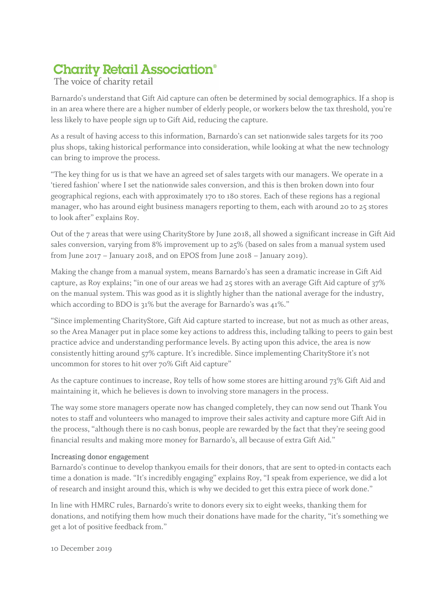# **Charity Retail Association®**

## The voice of charity retail

Barnardo's understand that Gift Aid capture can often be determined by social demographics. If a shop is in an area where there are a higher number of elderly people, or workers below the tax threshold, you're less likely to have people sign up to Gift Aid, reducing the capture.

As a result of having access to this information, Barnardo's can set nationwide sales targets for its 700 plus shops, taking historical performance into consideration, while looking at what the new technology can bring to improve the process.

"The key thing for us is that we have an agreed set of sales targets with our managers. We operate in a 'tiered fashion' where I set the nationwide sales conversion, and this is then broken down into four geographical regions, each with approximately 170 to 180 stores. Each of these regions has a regional manager, who has around eight business managers reporting to them, each with around 20 to 25 stores to look after" explains Roy.

Out of the 7 areas that were using CharityStore by June 2018, all showed a significant increase in Gift Aid sales conversion, varying from 8% improvement up to 25% (based on sales from a manual system used from June 2017 – January 2018, and on EPOS from June 2018 – January 2019).

Making the change from a manual system, means Barnardo's has seen a dramatic increase in Gift Aid capture, as Roy explains; "in one of our areas we had 25 stores with an average Gift Aid capture of 37% on the manual system. This was good as it is slightly higher than the national average for the industry, which according to BDO is 31% but the average for Barnardo's was 41%."

"Since implementing CharityStore, Gift Aid capture started to increase, but not as much as other areas, so the Area Manager put in place some key actions to address this, including talking to peers to gain best practice advice and understanding performance levels. By acting upon this advice, the area is now consistently hitting around 57% capture. It's incredible. Since implementing CharityStore it's not uncommon for stores to hit over 70% Gift Aid capture"

As the capture continues to increase, Roy tells of how some stores are hitting around 73% Gift Aid and maintaining it, which he believes is down to involving store managers in the process.

The way some store managers operate now has changed completely, they can now send out Thank You notes to staff and volunteers who managed to improve their sales activity and capture more Gift Aid in the process, "although there is no cash bonus, people are rewarded by the fact that they're seeing good financial results and making more money for Barnardo's, all because of extra Gift Aid."

### Increasing donor engagement

Barnardo's continue to develop thankyou emails for their donors, that are sent to opted-in contacts each time a donation is made. "It's incredibly engaging" explains Roy, "I speak from experience, we did a lot of research and insight around this, which is why we decided to get this extra piece of work done."

In line with HMRC rules, Barnardo's write to donors every six to eight weeks, thanking them for donations, and notifying them how much their donations have made for the charity, "it's something we get a lot of positive feedback from."

10 December 2019